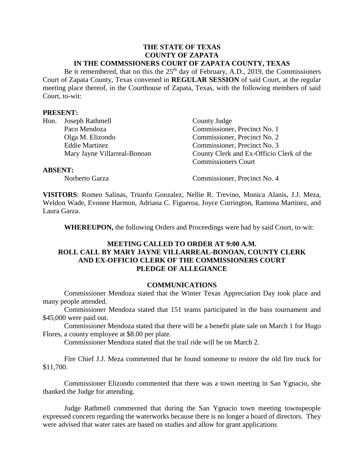#### **THE STATE OF TEXAS COUNTY OF ZAPATA IN THE COMMSSIONERS COURT OF ZAPATA COUNTY, TEXAS**

Be it remembered, that on this the  $25<sup>th</sup>$  day of February, A.D., 2019, the Commissioners Court of Zapata County, Texas convened in **REGULAR SESSION** of said Court, at the regular meeting place thereof, in the Courthouse of Zapata, Texas, with the following members of said Court, to-wit:

### **PRESENT:**

|                | Hon. Joseph Rathmell         | County Judge                             |
|----------------|------------------------------|------------------------------------------|
|                | Paco Mendoza                 | Commissioner, Precinct No. 1             |
|                | Olga M. Elizondo             | Commissioner, Precinct No. 2             |
|                | <b>Eddie Martinez</b>        | Commissioner, Precinct No. 3             |
|                | Mary Jayne Villarreal-Bonoan | County Clerk and Ex-Officio Clerk of the |
|                |                              | <b>Commissioners Court</b>               |
| <b>ABSENT:</b> |                              |                                          |

Norberto Garza Commissioner, Precinct No. 4

**VISITORS**: Romeo Salinas, Triunfo Gonzalez, Nellie R. Trevino, Monica Alanis, J.J. Meza, Weldon Wade, Evonne Harmon, Adriana C. Figueroa, Joyce Currington, Ramona Martinez, and Laura Garza.

**WHEREUPON,** the following Orders and Proceedings were had by said Court, to-wit:

## **MEETING CALLED TO ORDER AT 9:00 A.M. ROLL CALL BY MARY JAYNE VILLARREAL-BONOAN, COUNTY CLERK AND EX-OFFICIO CLERK OF THE COMMISSIONERS COURT PLEDGE OF ALLEGIANCE**

#### **COMMUNICATIONS**

Commissioner Mendoza stated that the Winter Texas Appreciation Day took place and many people attended.

Commissioner Mendoza stated that 151 teams participated in the bass tournament and \$45,000 were paid out.

Commissioner Mendoza stated that there will be a benefit plate sale on March 1 for Hugo Flores, a county employee at \$8.00 per plate.

Commissioner Mendoza stated that the trail ride will be on March 2.

Fire Chief J.J. Meza commented that he found someone to restore the old fire truck for \$11,700.

Commissioner Elizondo commented that there was a town meeting in San Ygnacio, she thanked the Judge for attending.

Judge Rathmell commented that during the San Ygnacio town meeting townspeople expressed concern regarding the waterworks because there is no longer a board of directors. They were advised that water rates are based on studies and allow for grant applications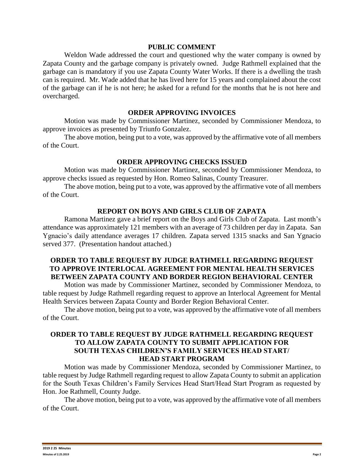### **PUBLIC COMMENT**

Weldon Wade addressed the court and questioned why the water company is owned by Zapata County and the garbage company is privately owned. Judge Rathmell explained that the garbage can is mandatory if you use Zapata County Water Works. If there is a dwelling the trash can is required. Mr. Wade added that he has lived here for 15 years and complained about the cost of the garbage can if he is not here; he asked for a refund for the months that he is not here and overcharged.

#### **ORDER APPROVING INVOICES**

Motion was made by Commissioner Martinez, seconded by Commissioner Mendoza, to approve invoices as presented by Triunfo Gonzalez.

The above motion, being put to a vote, was approved by the affirmative vote of all members of the Court.

### **ORDER APPROVING CHECKS ISSUED**

Motion was made by Commissioner Martinez, seconded by Commissioner Mendoza, to approve checks issued as requested by Hon. Romeo Salinas, County Treasurer.

The above motion, being put to a vote, was approved by the affirmative vote of all members of the Court.

### **REPORT ON BOYS AND GIRLS CLUB OF ZAPATA**

Ramona Martinez gave a brief report on the Boys and Girls Club of Zapata. Last month's attendance was approximately 121 members with an average of 73 children per day in Zapata. San Ygnacio's daily attendance averages 17 children. Zapata served 1315 snacks and San Ygnacio served 377. (Presentation handout attached.)

## **ORDER TO TABLE REQUEST BY JUDGE RATHMELL REGARDING REQUEST TO APPROVE INTERLOCAL AGREEMENT FOR MENTAL HEALTH SERVICES BETWEEN ZAPATA COUNTY AND BORDER REGION BEHAVIORAL CENTER**

Motion was made by Commissioner Martinez, seconded by Commissioner Mendoza, to table request by Judge Rathmell regarding request to approve an Interlocal Agreement for Mental Health Services between Zapata County and Border Region Behavioral Center.

The above motion, being put to a vote, was approved by the affirmative vote of all members of the Court.

# **ORDER TO TABLE REQUEST BY JUDGE RATHMELL REGARDING REQUEST TO ALLOW ZAPATA COUNTY TO SUBMIT APPLICATION FOR SOUTH TEXAS CHILDREN'S FAMILY SERVICES HEAD START/ HEAD START PROGRAM**

Motion was made by Commissioner Mendoza, seconded by Commissioner Martinez, to table request by Judge Rathmell regarding request to allow Zapata County to submit an application for the South Texas Children's Family Services Head Start/Head Start Program as requested by Hon. Joe Rathmell, County Judge.

The above motion, being put to a vote, was approved by the affirmative vote of all members of the Court.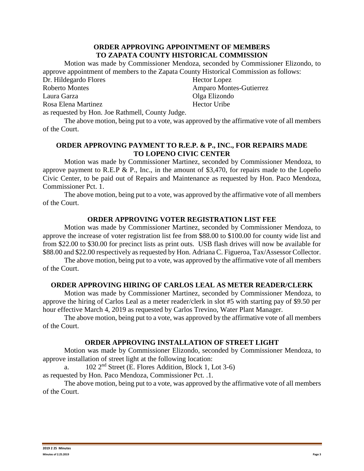### **ORDER APPROVING APPOINTMENT OF MEMBERS TO ZAPATA COUNTY HISTORICAL COMMISSION**

Motion was made by Commissioner Mendoza, seconded by Commissioner Elizondo, to approve appointment of members to the Zapata County Historical Commission as follows:

Dr. Hildegardo Flores Roberto Montes Laura Garza Rosa Elena Martinez

Hector Lopez Amparo Montes-Gutierrez Olga Elizondo Hector Uribe

as requested by Hon. Joe Rathmell, County Judge.

The above motion, being put to a vote, was approved by the affirmative vote of all members of the Court.

# **ORDER APPROVING PAYMENT TO R.E.P. & P., INC., FOR REPAIRS MADE TO LOPENO CIVIC CENTER**

Motion was made by Commissioner Martinez, seconded by Commissioner Mendoza, to approve payment to R.E.P & P., Inc., in the amount of \$3,470, for repairs made to the Lopeño Civic Center, to be paid out of Repairs and Maintenance as requested by Hon. Paco Mendoza, Commissioner Pct. 1.

The above motion, being put to a vote, was approved by the affirmative vote of all members of the Court.

# **ORDER APPROVING VOTER REGISTRATION LIST FEE**

Motion was made by Commissioner Martinez, seconded by Commissioner Mendoza, to approve the increase of voter registration list fee from \$88.00 to \$100.00 for county wide list and from \$22.00 to \$30.00 for precinct lists as print outs. USB flash drives will now be available for \$88.00 and \$22.00 respectively as requested by Hon. Adriana C. Figueroa, Tax/Assessor Collector.

The above motion, being put to a vote, was approved by the affirmative vote of all members of the Court.

# **ORDER APPROVING HIRING OF CARLOS LEAL AS METER READER/CLERK**

Motion was made by Commissioner Martinez, seconded by Commissioner Mendoza, to approve the hiring of Carlos Leal as a meter reader/clerk in slot #5 with starting pay of \$9.50 per hour effective March 4, 2019 as requested by Carlos Trevino, Water Plant Manager.

The above motion, being put to a vote, was approved by the affirmative vote of all members of the Court.

### **ORDER APPROVING INSTALLATION OF STREET LIGHT**

Motion was made by Commissioner Elizondo, seconded by Commissioner Mendoza, to approve installation of street light at the following location:

a.  $102 \, 2^{nd}$  Street (E. Flores Addition, Block 1, Lot 3-6)

as requested by Hon. Paco Mendoza, Commissioner Pct. .1.

The above motion, being put to a vote, was approved by the affirmative vote of all members of the Court.